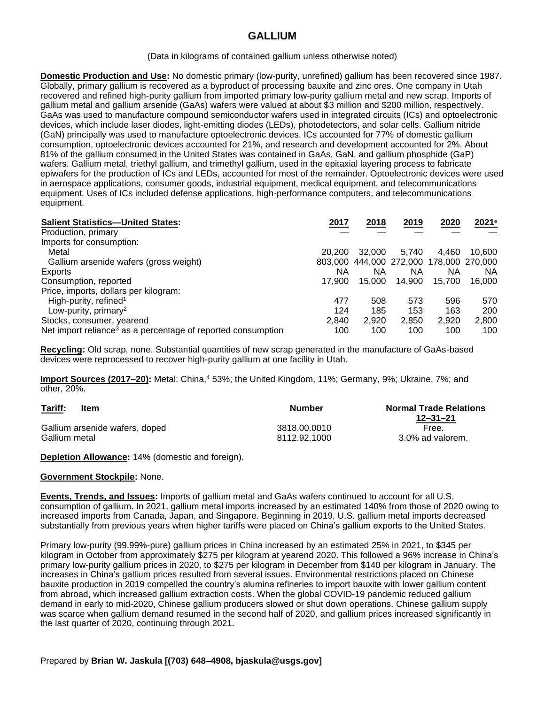## **GALLIUM**

(Data in kilograms of contained gallium unless otherwise noted)

**Domestic Production and Use:** No domestic primary (low-purity, unrefined) gallium has been recovered since 1987. Globally, primary gallium is recovered as a byproduct of processing bauxite and zinc ores. One company in Utah recovered and refined high-purity gallium from imported primary low-purity gallium metal and new scrap. Imports of gallium metal and gallium arsenide (GaAs) wafers were valued at about \$3 million and \$200 million, respectively. GaAs was used to manufacture compound semiconductor wafers used in integrated circuits (ICs) and optoelectronic devices, which include laser diodes, light-emitting diodes (LEDs), photodetectors, and solar cells. Gallium nitride (GaN) principally was used to manufacture optoelectronic devices. ICs accounted for 77% of domestic gallium consumption, optoelectronic devices accounted for 21%, and research and development accounted for 2%. About 81% of the gallium consumed in the United States was contained in GaAs, GaN, and gallium phosphide (GaP) wafers. Gallium metal, triethyl gallium, and trimethyl gallium, used in the epitaxial layering process to fabricate epiwafers for the production of ICs and LEDs, accounted for most of the remainder. Optoelectronic devices were used in aerospace applications, consumer goods, industrial equipment, medical equipment, and telecommunications equipment. Uses of ICs included defense applications, high-performance computers, and telecommunications equipment.

| <b>Salient Statistics-United States:</b>                                 | 2017   | 2018   | 2019                                    | 2020   | 2021e  |
|--------------------------------------------------------------------------|--------|--------|-----------------------------------------|--------|--------|
| Production, primary                                                      |        |        |                                         |        |        |
| Imports for consumption:                                                 |        |        |                                         |        |        |
| Metal                                                                    | 20,200 | 32,000 | 5.740                                   | 4.460  | 10.600 |
| Gallium arsenide wafers (gross weight)                                   |        |        | 803,000 444,000 272,000 178,000 270,000 |        |        |
| Exports                                                                  | ΝA     | ΝA     | ΝA                                      | ΝA     | ΝA     |
| Consumption, reported                                                    | 17.900 | 15.000 | 14.900                                  | 15.700 | 16.000 |
| Price, imports, dollars per kilogram:                                    |        |        |                                         |        |        |
| High-purity, refined <sup>1</sup>                                        | 477    | 508    | 573                                     | 596    | 570    |
| Low-purity, primary <sup>2</sup>                                         | 124    | 185    | 153                                     | 163    | 200    |
| Stocks, consumer, yearend                                                | 2,840  | 2,920  | 2,850                                   | 2,920  | 2,800  |
| Net import reliance <sup>3</sup> as a percentage of reported consumption | 100    | 100    | 100                                     | 100    | 100    |

**Recycling:** Old scrap, none. Substantial quantities of new scrap generated in the manufacture of GaAs-based devices were reprocessed to recover high-purity gallium at one facility in Utah.

**Import Sources (2017–20):** Metal: China,<sup>4</sup> 53%; the United Kingdom, 11%; Germany, 9%; Ukraine, 7%; and other, 20%.

| Tariff:<br><b>Item</b><br>and the contract of the contract of | Number       | <b>Normal Trade Relations</b><br>$12 - 31 - 21$ |
|---------------------------------------------------------------|--------------|-------------------------------------------------|
| Gallium arsenide wafers, doped                                | 3818.00.0010 | Free.                                           |
| Gallium metal                                                 | 8112.92.1000 | 3.0% ad valorem.                                |

**Depletion Allowance:** 14% (domestic and foreign).

## **Government Stockpile:** None.

**Events, Trends, and Issues:** Imports of gallium metal and GaAs wafers continued to account for all U.S. consumption of gallium. In 2021, gallium metal imports increased by an estimated 140% from those of 2020 owing to increased imports from Canada, Japan, and Singapore. Beginning in 2019, U.S. gallium metal imports decreased substantially from previous years when higher tariffs were placed on China's gallium exports to the United States.

Primary low-purity (99.99%-pure) gallium prices in China increased by an estimated 25% in 2021, to \$345 per kilogram in October from approximately \$275 per kilogram at yearend 2020. This followed a 96% increase in China's primary low-purity gallium prices in 2020, to \$275 per kilogram in December from \$140 per kilogram in January. The increases in China's gallium prices resulted from several issues. Environmental restrictions placed on Chinese bauxite production in 2019 compelled the country's alumina refineries to import bauxite with lower gallium content from abroad, which increased gallium extraction costs. When the global COVID-19 pandemic reduced gallium demand in early to mid-2020, Chinese gallium producers slowed or shut down operations. Chinese gallium supply was scarce when gallium demand resumed in the second half of 2020, and gallium prices increased significantly in the last quarter of 2020, continuing through 2021.